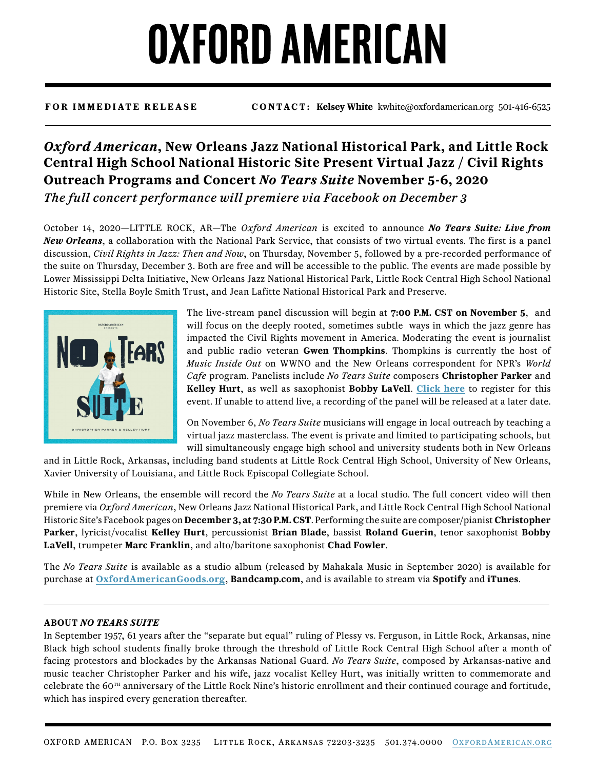## **OXFORD AMERICAN**

**FOR IMMEDIATE RELEASE CONTACT: Kelsey White** kwhite@oxfordamerican.org 501-416-6525

## *Oxford American***, New Orleans Jazz National Historical Park, and Little Rock Central High School National Historic Site Present Virtual Jazz / Civil Rights Outreach Programs and Concert** *No Tears Suite* **November 5-6, 2020** *The full concert performance will premiere via Facebook on December 3*

October 14, 2020—LITTLE ROCK, AR—The *Oxford American* is excited to announce *No Tears Suite: Live from New Orleans*, a collaboration with the National Park Service, that consists of two virtual events. The first is a panel discussion, *Civil Rights in Jazz: Then and Now*, on Thursday, November 5, followed by a pre-recorded performance of the suite on Thursday, December 3. Both are free and will be accessible to the public. The events are made possible by Lower Mississippi Delta Initiative, New Orleans Jazz National Historical Park, Little Rock Central High School National Historic Site, Stella Boyle Smith Trust, and Jean Lafitte National Historical Park and Preserve.



The live-stream panel discussion will begin at **7:00 P.M. CST on November 5**, and will focus on the deeply rooted, sometimes subtle ways in which the jazz genre has impacted the Civil Rights movement in America. Moderating the event is journalist and public radio veteran **Gwen Thompkins**. Thompkins is currently the host of *Music Inside Out* on WWNO and the New Orleans correspondent for NPR's *World Cafe* program. Panelists include *No Tears Suite* composers **Christopher Parker** and **Kelley Hurt**, as well as saxophonist **Bobby LaVell**. **[Click here](https://www.eventbrite.com/e/oa-presents-civil-rights-and-jazz-then-and-now-panel-discussion-tickets-125102283297)** to register for this event. If unable to attend live, a recording of the panel will be released at a later date.

On November 6, *No Tears Suite* musicians will engage in local outreach by teaching a virtual jazz masterclass. The event is private and limited to participating schools, but will simultaneously engage high school and university students both in New Orleans

and in Little Rock, Arkansas, including band students at Little Rock Central High School, University of New Orleans, Xavier University of Louisiana, and Little Rock Episcopal Collegiate School.

While in New Orleans, the ensemble will record the *No Tears Suite* at a local studio. The full concert video will then premiere via *Oxford American*, New Orleans Jazz National Historical Park, and Little Rock Central High School National Historic Site's Facebook pages on **December 3, at 7:30 P.M. CST**. Performing the suite are composer/pianist **Christopher Parker**, lyricist/vocalist **Kelley Hurt**, percussionist **Brian Blade**, bassist **Roland Guerin**, tenor saxophonist **Bobby LaVell**, trumpeter **Marc Franklin**, and alto/baritone saxophonist **Chad Fowler**.

The *No Tears Suite* is available as a studio album (released by Mahakala Music in September 2020) is available for purchase at **[OxfordAmericanGoods.org](https://www.oxfordamericangoods.org/products/no-tears-suite-cd)**, **Bandcamp.com**, and is available to stream via **Spotify** and **iTunes**.

## **ABOUT** *NO TEARS SUITE*

In September 1957, 61 years after the "separate but equal" ruling of Plessy vs. Ferguson, in Little Rock, Arkansas, nine Black high school students finally broke through the threshold of Little Rock Central High School after a month of facing protestors and blockades by the Arkansas National Guard. *No Tears Suite*, composed by Arkansas-native and music teacher Christopher Parker and his wife, jazz vocalist Kelley Hurt, was initially written to commemorate and celebrate the  $60<sup>th</sup>$  anniversary of the Little Rock Nine's historic enrollment and their continued courage and fortitude, which has inspired every generation thereafter.